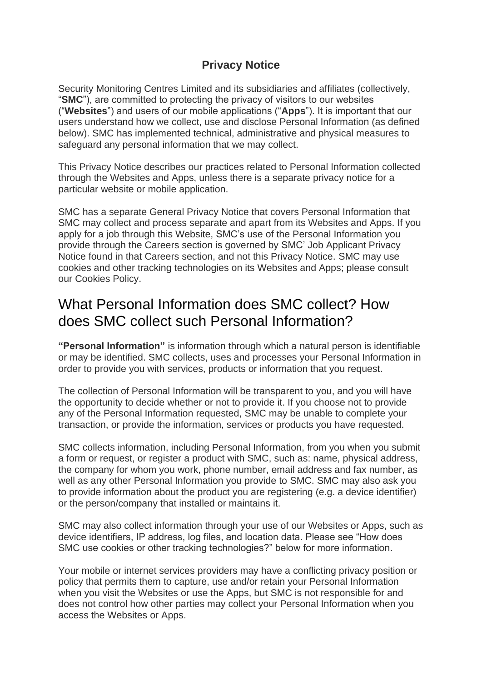#### **Privacy Notice**

Security Monitoring Centres Limited and its subsidiaries and affiliates (collectively, "**SMC**"), are committed to protecting the privacy of visitors to our websites ("**Websites**") and users of our mobile applications ("**Apps**"). It is important that our users understand how we collect, use and disclose Personal Information (as defined below). SMC has implemented technical, administrative and physical measures to safeguard any personal information that we may collect.

This Privacy Notice describes our practices related to Personal Information collected through the Websites and Apps, unless there is a separate privacy notice for a particular website or mobile application.

SMC has a separate General Privacy Notice that covers Personal Information that SMC may collect and process separate and apart from its Websites and Apps. If you apply for a job through this Website, SMC's use of the Personal Information you provide through the Careers section is governed by SMC' Job Applicant Privacy Notice found in that Careers section, and not this Privacy Notice. SMC may use cookies and other tracking technologies on its Websites and Apps; please consult our Cookies Policy.

#### What Personal Information does SMC collect? How does SMC collect such Personal Information?

**"Personal Information"** is information through which a natural person is identifiable or may be identified. SMC collects, uses and processes your Personal Information in order to provide you with services, products or information that you request.

The collection of Personal Information will be transparent to you, and you will have the opportunity to decide whether or not to provide it. If you choose not to provide any of the Personal Information requested, SMC may be unable to complete your transaction, or provide the information, services or products you have requested.

SMC collects information, including Personal Information, from you when you submit a form or request, or register a product with SMC, such as: name, physical address, the company for whom you work, phone number, email address and fax number, as well as any other Personal Information you provide to SMC. SMC may also ask you to provide information about the product you are registering (e.g. a device identifier) or the person/company that installed or maintains it.

SMC may also collect information through your use of our Websites or Apps, such as device identifiers, IP address, log files, and location data. Please see "How does SMC use cookies or other tracking technologies?" below for more information.

Your mobile or internet services providers may have a conflicting privacy position or policy that permits them to capture, use and/or retain your Personal Information when you visit the Websites or use the Apps, but SMC is not responsible for and does not control how other parties may collect your Personal Information when you access the Websites or Apps.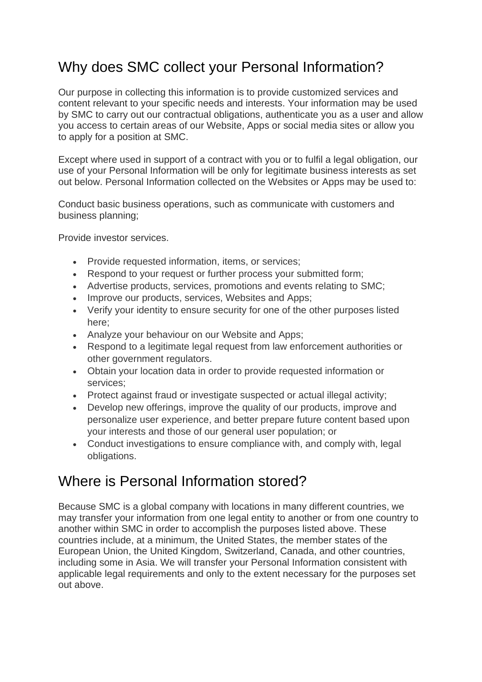# Why does SMC collect your Personal Information?

Our purpose in collecting this information is to provide customized services and content relevant to your specific needs and interests. Your information may be used by SMC to carry out our contractual obligations, authenticate you as a user and allow you access to certain areas of our Website, Apps or social media sites or allow you to apply for a position at SMC.

Except where used in support of a contract with you or to fulfil a legal obligation, our use of your Personal Information will be only for legitimate business interests as set out below. Personal Information collected on the Websites or Apps may be used to:

Conduct basic business operations, such as communicate with customers and business planning;

Provide investor services.

- Provide requested information, items, or services;
- Respond to your request or further process your submitted form;
- Advertise products, services, promotions and events relating to SMC;
- Improve our products, services, Websites and Apps;
- Verify your identity to ensure security for one of the other purposes listed here;
- Analyze your behaviour on our Website and Apps;
- Respond to a legitimate legal request from law enforcement authorities or other government regulators.
- Obtain your location data in order to provide requested information or services;
- Protect against fraud or investigate suspected or actual illegal activity:
- Develop new offerings, improve the quality of our products, improve and personalize user experience, and better prepare future content based upon your interests and those of our general user population; or
- Conduct investigations to ensure compliance with, and comply with, legal obligations.

## Where is Personal Information stored?

Because SMC is a global company with locations in many different countries, we may transfer your information from one legal entity to another or from one country to another within SMC in order to accomplish the purposes listed above. These countries include, at a minimum, the United States, the member states of the European Union, the United Kingdom, Switzerland, Canada, and other countries, including some in Asia. We will transfer your Personal Information consistent with applicable legal requirements and only to the extent necessary for the purposes set out above.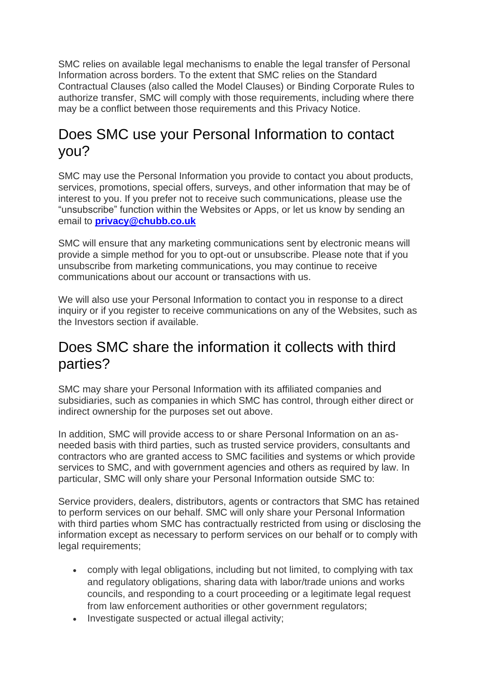SMC relies on available legal mechanisms to enable the legal transfer of Personal Information across borders. To the extent that SMC relies on the Standard Contractual Clauses (also called the Model Clauses) or Binding Corporate Rules to authorize transfer, SMC will comply with those requirements, including where there may be a conflict between those requirements and this Privacy Notice.

# Does SMC use your Personal Information to contact you?

SMC may use the Personal Information you provide to contact you about products, services, promotions, special offers, surveys, and other information that may be of interest to you. If you prefer not to receive such communications, please use the "unsubscribe" function within the Websites or Apps, or let us know by sending an email to **[privacy@chubb.co.uk](mailto:privacy@chubb.co.uk)**

SMC will ensure that any marketing communications sent by electronic means will provide a simple method for you to opt-out or unsubscribe. Please note that if you unsubscribe from marketing communications, you may continue to receive communications about our account or transactions with us.

We will also use your Personal Information to contact you in response to a direct inquiry or if you register to receive communications on any of the Websites, such as the Investors section if available.

## Does SMC share the information it collects with third parties?

SMC may share your Personal Information with its affiliated companies and subsidiaries, such as companies in which SMC has control, through either direct or indirect ownership for the purposes set out above.

In addition, SMC will provide access to or share Personal Information on an asneeded basis with third parties, such as trusted service providers, consultants and contractors who are granted access to SMC facilities and systems or which provide services to SMC, and with government agencies and others as required by law. In particular, SMC will only share your Personal Information outside SMC to:

Service providers, dealers, distributors, agents or contractors that SMC has retained to perform services on our behalf. SMC will only share your Personal Information with third parties whom SMC has contractually restricted from using or disclosing the information except as necessary to perform services on our behalf or to comply with legal requirements;

- comply with legal obligations, including but not limited, to complying with tax and regulatory obligations, sharing data with labor/trade unions and works councils, and responding to a court proceeding or a legitimate legal request from law enforcement authorities or other government regulators;
- Investigate suspected or actual illegal activity;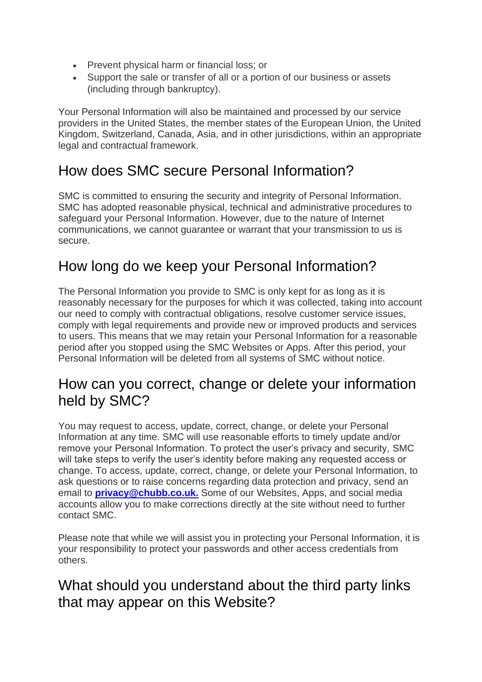- Prevent physical harm or financial loss; or
- Support the sale or transfer of all or a portion of our business or assets (including through bankruptcy).

Your Personal Information will also be maintained and processed by our service providers in the United States, the member states of the European Union, the United Kingdom, Switzerland, Canada, Asia, and in other jurisdictions, within an appropriate legal and contractual framework.

## How does SMC secure Personal Information?

SMC is committed to ensuring the security and integrity of Personal Information. SMC has adopted reasonable physical, technical and administrative procedures to safeguard your Personal Information. However, due to the nature of Internet communications, we cannot guarantee or warrant that your transmission to us is secure.

# How long do we keep your Personal Information?

The Personal Information you provide to SMC is only kept for as long as it is reasonably necessary for the purposes for which it was collected, taking into account our need to comply with contractual obligations, resolve customer service issues, comply with legal requirements and provide new or improved products and services to users. This means that we may retain your Personal Information for a reasonable period after you stopped using the SMC Websites or Apps. After this period, your Personal Information will be deleted from all systems of SMC without notice.

## How can you correct, change or delete your information held by SMC?

You may request to access, update, correct, change, or delete your Personal Information at any time. SMC will use reasonable efforts to timely update and/or remove your Personal Information. To protect the user's privacy and security, SMC will take steps to verify the user's identity before making any requested access or change. To access, update, correct, change, or delete your Personal Information, to ask questions or to raise concerns regarding data protection and privacy, send an email to **[privacy@chubb.co.uk.](mailto:privacy@chubb.co.uk.)** Some of our Websites, Apps, and social media accounts allow you to make corrections directly at the site without need to further contact SMC.

Please note that while we will assist you in protecting your Personal Information, it is your responsibility to protect your passwords and other access credentials from others.

## What should you understand about the third party links that may appear on this Website?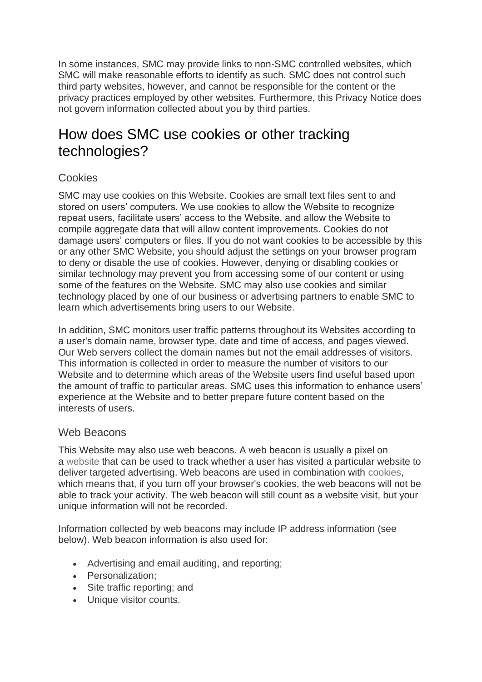In some instances, SMC may provide links to non-SMC controlled websites, which SMC will make reasonable efforts to identify as such. SMC does not control such third party websites, however, and cannot be responsible for the content or the privacy practices employed by other websites. Furthermore, this Privacy Notice does not govern information collected about you by third parties.

## How does SMC use cookies or other tracking technologies?

#### **Cookies**

SMC may use cookies on this Website. Cookies are small text files sent to and stored on users' computers. We use cookies to allow the Website to recognize repeat users, facilitate users' access to the Website, and allow the Website to compile aggregate data that will allow content improvements. Cookies do not damage users' computers or files. If you do not want cookies to be accessible by this or any other SMC Website, you should adjust the settings on your browser program to deny or disable the use of cookies. However, denying or disabling cookies or similar technology may prevent you from accessing some of our content or using some of the features on the Website. SMC may also use cookies and similar technology placed by one of our business or advertising partners to enable SMC to learn which advertisements bring users to our Website.

In addition, SMC monitors user traffic patterns throughout its Websites according to a user's domain name, browser type, date and time of access, and pages viewed. Our Web servers collect the domain names but not the email addresses of visitors. This information is collected in order to measure the number of visitors to our Website and to determine which areas of the Website users find useful based upon the amount of traffic to particular areas. SMC uses this information to enhance users' experience at the Website and to better prepare future content based on the interests of users.

#### Web Beacons

This Website may also use web beacons. A web beacon is usually a pixel on a [website](http://www.webopedia.com/TERM/W/Web_site.html) that can be used to track whether a user has visited a particular website to deliver targeted advertising. Web beacons are used in combination with [cookies,](http://www.webopedia.com/TERM/C/cookie.html) which means that, if you turn off your browser's cookies, the web beacons will not be able to track your activity. The web beacon will still count as a website visit, but your unique information will not be recorded.

Information collected by web beacons may include IP address information (see below). Web beacon information is also used for:

- Advertising and email auditing, and reporting;
- Personalization;
- Site traffic reporting; and
- Unique visitor counts.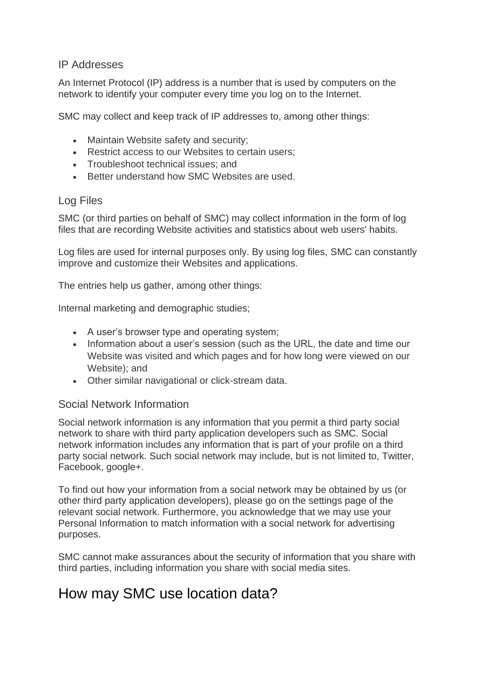#### IP Addresses

An Internet Protocol (IP) address is a number that is used by computers on the network to identify your computer every time you log on to the Internet.

SMC may collect and keep track of IP addresses to, among other things:

- Maintain Website safety and security;
- Restrict access to our Websites to certain users;
- Troubleshoot technical issues; and
- Better understand how SMC Websites are used.

#### Log Files

SMC (or third parties on behalf of SMC) may collect information in the form of log files that are recording Website activities and statistics about web users' habits.

Log files are used for internal purposes only. By using log files, SMC can constantly improve and customize their Websites and applications.

The entries help us gather, among other things:

Internal marketing and demographic studies;

- A user's browser type and operating system;
- Information about a user's session (such as the URL, the date and time our Website was visited and which pages and for how long were viewed on our Website); and
- Other similar navigational or click-stream data.

#### Social Network Information

Social network information is any information that you permit a third party social network to share with third party application developers such as SMC. Social network information includes any information that is part of your profile on a third party social network. Such social network may include, but is not limited to, Twitter, Facebook, google+.

To find out how your information from a social network may be obtained by us (or other third party application developers), please go on the settings page of the relevant social network. Furthermore, you acknowledge that we may use your Personal Information to match information with a social network for advertising purposes.

SMC cannot make assurances about the security of information that you share with third parties, including information you share with social media sites.

## How may SMC use location data?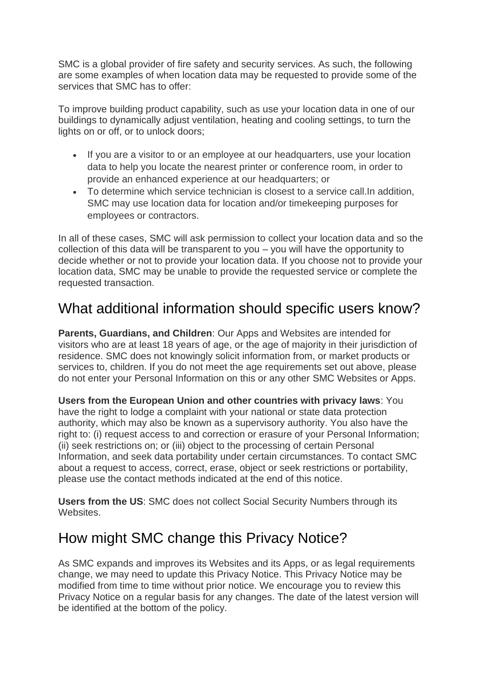SMC is a global provider of fire safety and security services. As such, the following are some examples of when location data may be requested to provide some of the services that SMC has to offer:

To improve building product capability, such as use your location data in one of our buildings to dynamically adjust ventilation, heating and cooling settings, to turn the lights on or off, or to unlock doors;

- If you are a visitor to or an employee at our headquarters, use your location data to help you locate the nearest printer or conference room, in order to provide an enhanced experience at our headquarters; or
- To determine which service technician is closest to a service call.In addition, SMC may use location data for location and/or timekeeping purposes for employees or contractors.

In all of these cases, SMC will ask permission to collect your location data and so the collection of this data will be transparent to you – you will have the opportunity to decide whether or not to provide your location data. If you choose not to provide your location data, SMC may be unable to provide the requested service or complete the requested transaction.

# What additional information should specific users know?

**Parents, Guardians, and Children**: Our Apps and Websites are intended for visitors who are at least 18 years of age, or the age of majority in their jurisdiction of residence. SMC does not knowingly solicit information from, or market products or services to, children. If you do not meet the age requirements set out above, please do not enter your Personal Information on this or any other SMC Websites or Apps.

**Users from the European Union and other countries with privacy laws**: You have the right to lodge a complaint with your national or state data protection authority, which may also be known as a supervisory authority. You also have the right to: (i) request access to and correction or erasure of your Personal Information; (ii) seek restrictions on; or (iii) object to the processing of certain Personal Information, and seek data portability under certain circumstances. To contact SMC about a request to access, correct, erase, object or seek restrictions or portability, please use the contact methods indicated at the end of this notice.

**Users from the US**: SMC does not collect Social Security Numbers through its Websites.

## How might SMC change this Privacy Notice?

As SMC expands and improves its Websites and its Apps, or as legal requirements change, we may need to update this Privacy Notice. This Privacy Notice may be modified from time to time without prior notice. We encourage you to review this Privacy Notice on a regular basis for any changes. The date of the latest version will be identified at the bottom of the policy.